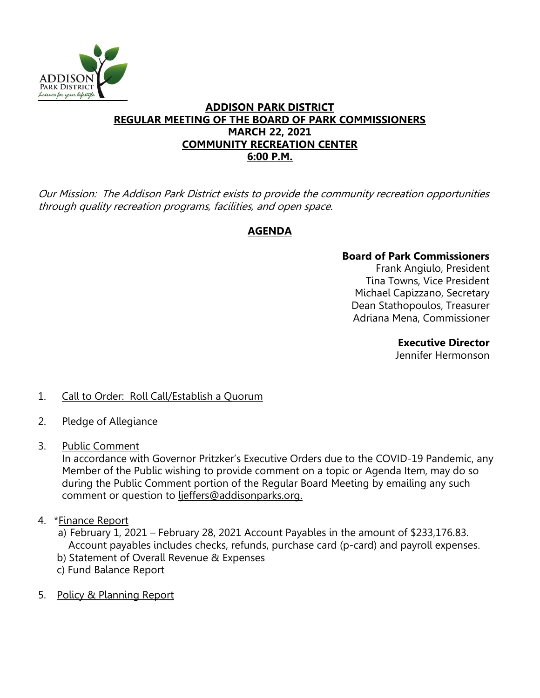

#### **ADDISON PARK DISTRICT REGULAR MEETING OF THE BOARD OF PARK COMMISSIONERS MARCH 22, 2021 COMMUNITY RECREATION CENTER 6:00 P.M.**

Our Mission: The Addison Park District exists to provide the community recreation opportunities through quality recreation programs, facilities, and open space.

# **AGENDA**

# **Board of Park Commissioners**

Frank Angiulo, President Tina Towns, Vice President Michael Capizzano, Secretary Dean Stathopoulos, Treasurer Adriana Mena, Commissioner

> **Executive Director**  Jennifer Hermonson

# 1. Call to Order: Roll Call/Establish a Quorum

- 2. Pledge of Allegiance
- 3. Public Comment

In accordance with Governor Pritzker's Executive Orders due to the COVID-19 Pandemic, any Member of the Public wishing to provide comment on a topic or Agenda Item, may do so during the Public Comment portion of the Regular Board Meeting by emailing any such comment or question to ljeffers@addisonparks.org.

- 4. \*Finance Report
	- a) February 1, 2021 February 28, 2021 Account Payables in the amount of \$233,176.83. Account payables includes checks, refunds, purchase card (p-card) and payroll expenses.
	- b) Statement of Overall Revenue & Expenses
	- c) Fund Balance Report
- 5. Policy & Planning Report